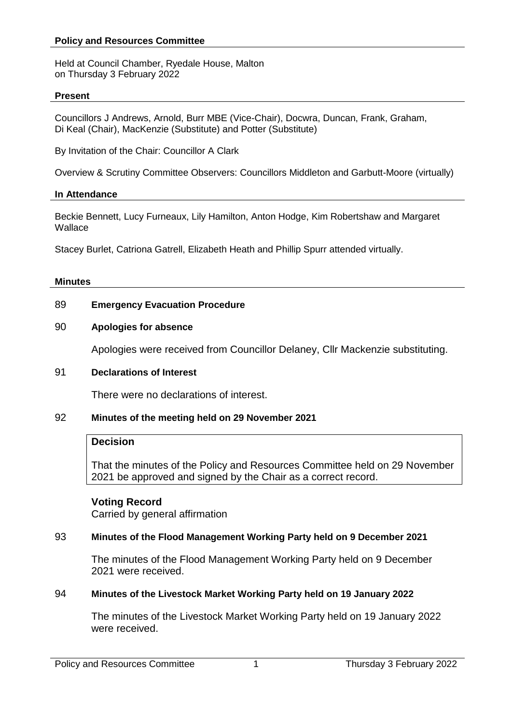## **Policy and Resources Committee**

Held at Council Chamber, Ryedale House, Malton on Thursday 3 February 2022

#### **Present**

Councillors J Andrews, Arnold, Burr MBE (Vice-Chair), Docwra, Duncan, Frank, Graham, Di Keal (Chair), MacKenzie (Substitute) and Potter (Substitute)

By Invitation of the Chair: Councillor A Clark

Overview & Scrutiny Committee Observers: Councillors Middleton and Garbutt-Moore (virtually)

#### **In Attendance**

Beckie Bennett, Lucy Furneaux, Lily Hamilton, Anton Hodge, Kim Robertshaw and Margaret **Wallace** 

Stacey Burlet, Catriona Gatrell, Elizabeth Heath and Phillip Spurr attended virtually.

#### **Minutes**

## 89 **Emergency Evacuation Procedure**

## 90 **Apologies for absence**

Apologies were received from Councillor Delaney, Cllr Mackenzie substituting.

#### 91 **Declarations of Interest**

There were no declarations of interest.

# 92 **Minutes of the meeting held on 29 November 2021**

## **Decision**

That the minutes of the Policy and Resources Committee held on 29 November 2021 be approved and signed by the Chair as a correct record.

#### **Voting Record**

Carried by general affirmation

# 93 **Minutes of the Flood Management Working Party held on 9 December 2021**

The minutes of the Flood Management Working Party held on 9 December 2021 were received.

#### 94 **Minutes of the Livestock Market Working Party held on 19 January 2022**

The minutes of the Livestock Market Working Party held on 19 January 2022 were received.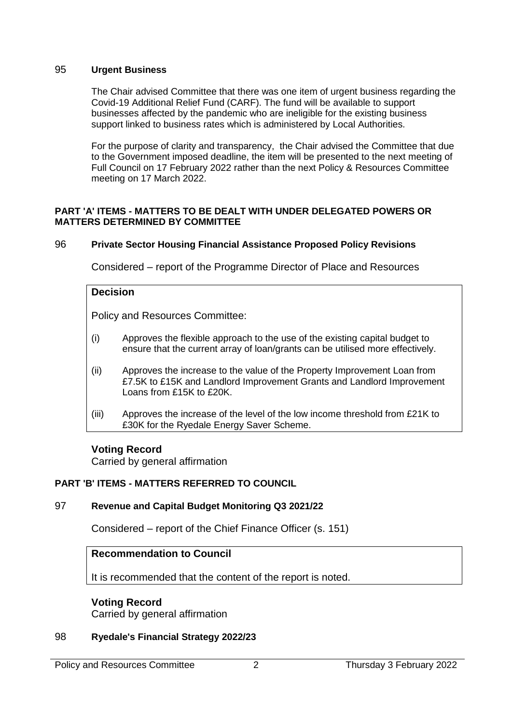# 95 **Urgent Business**

The Chair advised Committee that there was one item of urgent business regarding the Covid-19 Additional Relief Fund (CARF). The fund will be available to support businesses affected by the pandemic who are ineligible for the existing business support linked to business rates which is administered by Local Authorities.

For the purpose of clarity and transparency, the Chair advised the Committee that due to the Government imposed deadline, the item will be presented to the next meeting of Full Council on 17 February 2022 rather than the next Policy & Resources Committee meeting on 17 March 2022.

## **PART 'A' ITEMS - MATTERS TO BE DEALT WITH UNDER DELEGATED POWERS OR MATTERS DETERMINED BY COMMITTEE**

## 96 **Private Sector Housing Financial Assistance Proposed Policy Revisions**

Considered – report of the Programme Director of Place and Resources

#### **Decision**

Policy and Resources Committee:

- (i) Approves the flexible approach to the use of the existing capital budget to ensure that the current array of loan/grants can be utilised more effectively.
- (ii) Approves the increase to the value of the Property Improvement Loan from £7.5K to £15K and Landlord Improvement Grants and Landlord Improvement Loans from £15K to £20K.
- (iii) Approves the increase of the level of the low income threshold from £21K to £30K for the Ryedale Energy Saver Scheme.

#### **Voting Record**

Carried by general affirmation

#### **PART 'B' ITEMS - MATTERS REFERRED TO COUNCIL**

# 97 **Revenue and Capital Budget Monitoring Q3 2021/22**

Considered – report of the Chief Finance Officer (s. 151)

# **Recommendation to Council**

It is recommended that the content of the report is noted.

# **Voting Record**

Carried by general affirmation

#### 98 **Ryedale's Financial Strategy 2022/23**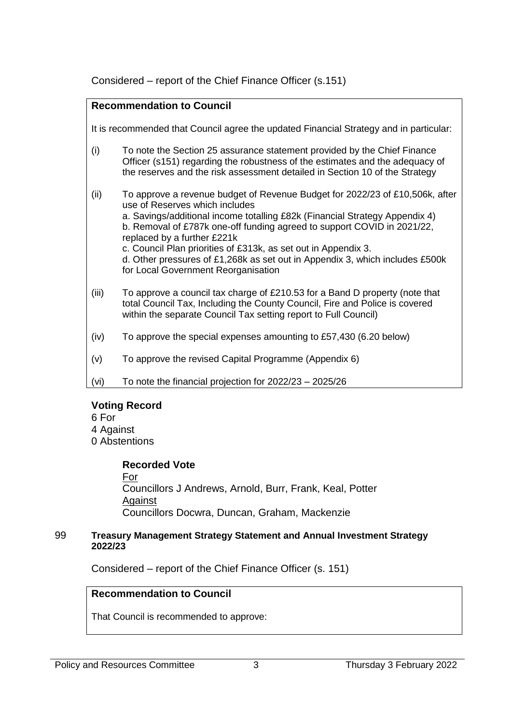Considered – report of the Chief Finance Officer (s.151)

| <b>Recommendation to Council</b>                                                       |                                                                                                                                                                                                                                                                                                                                                                                                                                                                                                  |
|----------------------------------------------------------------------------------------|--------------------------------------------------------------------------------------------------------------------------------------------------------------------------------------------------------------------------------------------------------------------------------------------------------------------------------------------------------------------------------------------------------------------------------------------------------------------------------------------------|
| It is recommended that Council agree the updated Financial Strategy and in particular: |                                                                                                                                                                                                                                                                                                                                                                                                                                                                                                  |
| (i)                                                                                    | To note the Section 25 assurance statement provided by the Chief Finance<br>Officer (s151) regarding the robustness of the estimates and the adequacy of<br>the reserves and the risk assessment detailed in Section 10 of the Strategy                                                                                                                                                                                                                                                          |
| (ii)                                                                                   | To approve a revenue budget of Revenue Budget for 2022/23 of £10,506k, after<br>use of Reserves which includes<br>a. Savings/additional income totalling £82k (Financial Strategy Appendix 4)<br>b. Removal of £787k one-off funding agreed to support COVID in 2021/22,<br>replaced by a further £221k<br>c. Council Plan priorities of £313k, as set out in Appendix 3.<br>d. Other pressures of £1,268k as set out in Appendix 3, which includes £500k<br>for Local Government Reorganisation |
| (iii)                                                                                  | To approve a council tax charge of £210.53 for a Band D property (note that<br>total Council Tax, Including the County Council, Fire and Police is covered<br>within the separate Council Tax setting report to Full Council)                                                                                                                                                                                                                                                                    |
| (iv)                                                                                   | To approve the special expenses amounting to £57,430 (6.20 below)                                                                                                                                                                                                                                                                                                                                                                                                                                |
| (v)                                                                                    | To approve the revised Capital Programme (Appendix 6)                                                                                                                                                                                                                                                                                                                                                                                                                                            |
| (vi)                                                                                   | To note the financial projection for $2022/23 - 2025/26$                                                                                                                                                                                                                                                                                                                                                                                                                                         |

# **Voting Record**

6 For

4 Against

0 Abstentions

**Recorded Vote**

For Councillors J Andrews, Arnold, Burr, Frank, Keal, Potter **Against** Councillors Docwra, Duncan, Graham, Mackenzie

# 99 **Treasury Management Strategy Statement and Annual Investment Strategy 2022/23**

Considered – report of the Chief Finance Officer (s. 151)

# **Recommendation to Council**

That Council is recommended to approve: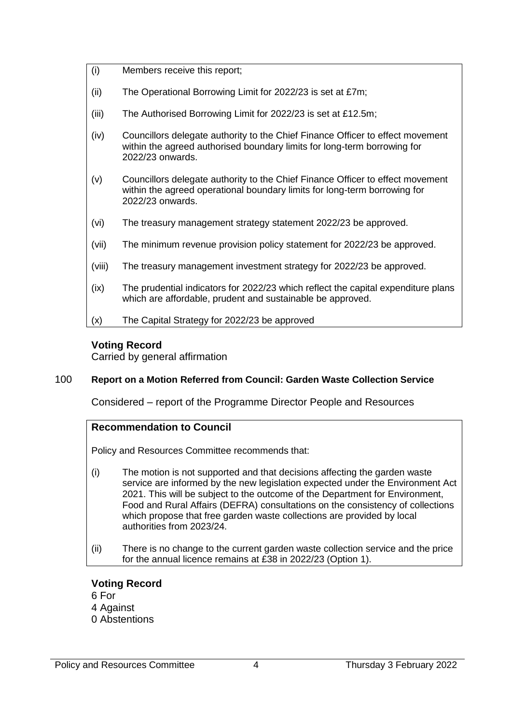- (i) Members receive this report;
- (ii) The Operational Borrowing Limit for 2022/23 is set at £7m;
- (iii) The Authorised Borrowing Limit for 2022/23 is set at £12.5m;
- (iv) Councillors delegate authority to the Chief Finance Officer to effect movement within the agreed authorised boundary limits for long-term borrowing for 2022/23 onwards.
- (v) Councillors delegate authority to the Chief Finance Officer to effect movement within the agreed operational boundary limits for long-term borrowing for 2022/23 onwards.
- (vi) The treasury management strategy statement 2022/23 be approved.
- (vii) The minimum revenue provision policy statement for 2022/23 be approved.
- (viii) The treasury management investment strategy for 2022/23 be approved.
- (ix) The prudential indicators for 2022/23 which reflect the capital expenditure plans which are affordable, prudent and sustainable be approved.
- (x) The Capital Strategy for 2022/23 be approved

# **Voting Record**

Carried by general affirmation

# 100 **Report on a Motion Referred from Council: Garden Waste Collection Service**

Considered – report of the Programme Director People and Resources

# **Recommendation to Council**

Policy and Resources Committee recommends that:

- (i) The motion is not supported and that decisions affecting the garden waste service are informed by the new legislation expected under the Environment Act 2021. This will be subject to the outcome of the Department for Environment, Food and Rural Affairs (DEFRA) consultations on the consistency of collections which propose that free garden waste collections are provided by local authorities from 2023/24.
- (ii) There is no change to the current garden waste collection service and the price for the annual licence remains at £38 in 2022/23 (Option 1).

# **Voting Record**

- 6 For 4 Against
- 0 Abstentions